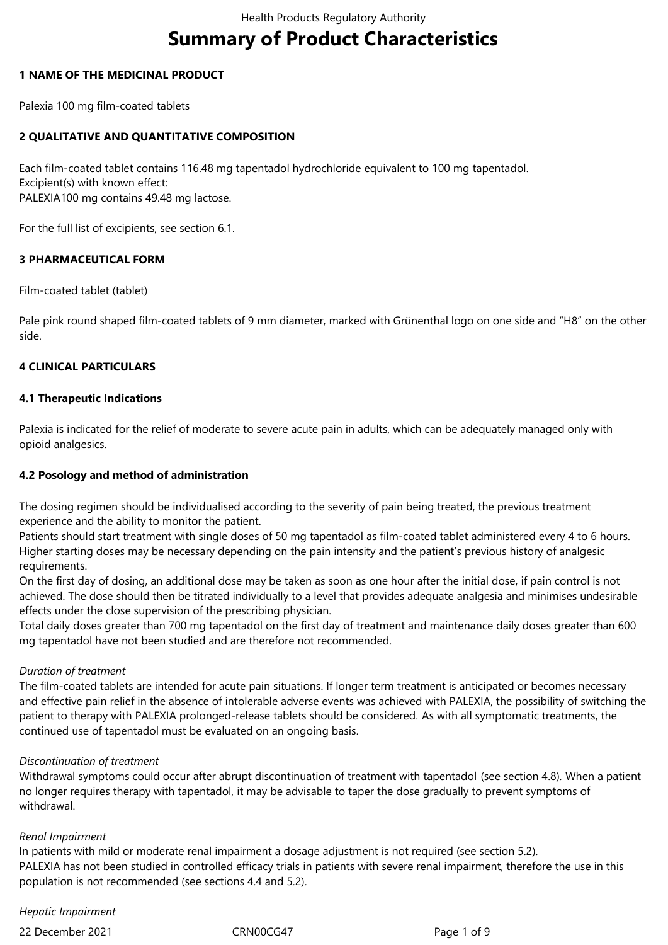# **Summary of Product Characteristics**

## **1 NAME OF THE MEDICINAL PRODUCT**

Palexia 100 mg film-coated tablets

## **2 QUALITATIVE AND QUANTITATIVE COMPOSITION**

Each film-coated tablet contains 116.48 mg tapentadol hydrochloride equivalent to 100 mg tapentadol. Excipient(s) with known effect: PALEXIA100 mg contains 49.48 mg lactose.

For the full list of excipients, see section 6.1.

## **3 PHARMACEUTICAL FORM**

Film-coated tablet (tablet)

Pale pink round shaped film-coated tablets of 9 mm diameter, marked with Grünenthal logo on one side and "H8" on the other side.

## **4 CLINICAL PARTICULARS**

## **4.1 Therapeutic Indications**

Palexia is indicated for the relief of moderate to severe acute pain in adults, which can be adequately managed only with opioid analgesics.

## **4.2 Posology and method of administration**

The dosing regimen should be individualised according to the severity of pain being treated, the previous treatment experience and the ability to monitor the patient.

Patients should start treatment with single doses of 50 mg tapentadol as film-coated tablet administered every 4 to 6 hours. Higher starting doses may be necessary depending on the pain intensity and the patient's previous history of analgesic requirements.

On the first day of dosing, an additional dose may be taken as soon as one hour after the initial dose, if pain control is not achieved. The dose should then be titrated individually to a level that provides adequate analgesia and minimises undesirable effects under the close supervision of the prescribing physician.

Total daily doses greater than 700 mg tapentadol on the first day of treatment and maintenance daily doses greater than 600 mg tapentadol have not been studied and are therefore not recommended.

#### *Duration of treatment*

The film-coated tablets are intended for acute pain situations. If longer term treatment is anticipated or becomes necessary and effective pain relief in the absence of intolerable adverse events was achieved with PALEXIA, the possibility of switching the patient to therapy with PALEXIA prolonged-release tablets should be considered. As with all symptomatic treatments, the continued use of tapentadol must be evaluated on an ongoing basis.

#### *Discontinuation of treatment*

Withdrawal symptoms could occur after abrupt discontinuation of treatment with tapentadol (see section 4.8)*.* When a patient no longer requires therapy with tapentadol, it may be advisable to taper the dose gradually to prevent symptoms of withdrawal.

#### *Renal Impairment*

In patients with mild or moderate renal impairment a dosage adjustment is not required (see section 5.2). PALEXIA has not been studied in controlled efficacy trials in patients with severe renal impairment, therefore the use in this population is not recommended (see sections 4.4 and 5.2).

## *Hepatic Impairment*

22 December 2021 CRN00CG47 Page 1 of 9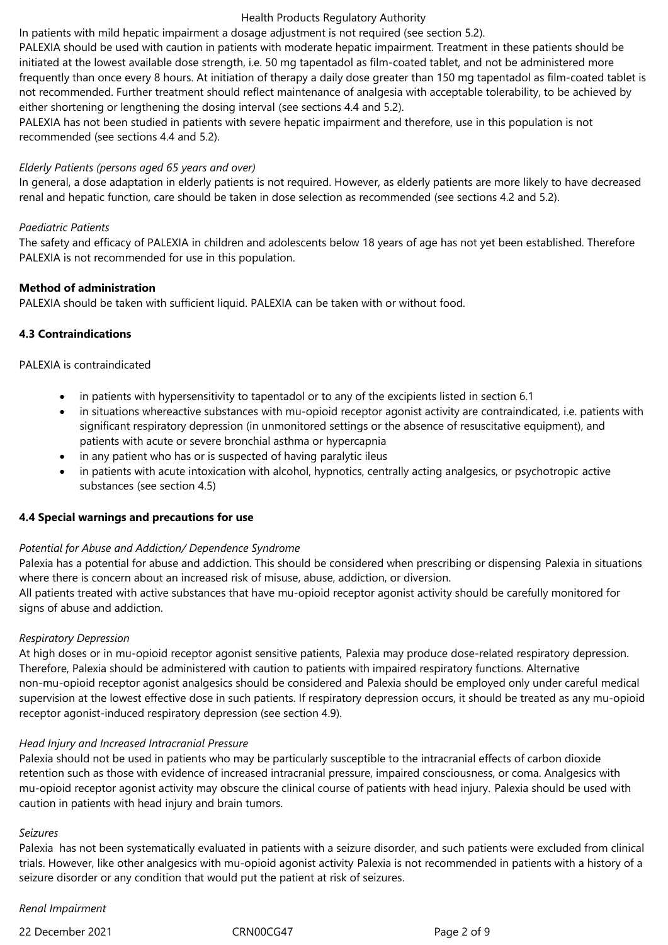In patients with mild hepatic impairment a dosage adjustment is not required (see section 5.2).

PALEXIA should be used with caution in patients with moderate hepatic impairment. Treatment in these patients should be initiated at the lowest available dose strength, i.e. 50 mg tapentadol as film-coated tablet, and not be administered more frequently than once every 8 hours. At initiation of therapy a daily dose greater than 150 mg tapentadol as film-coated tablet is not recommended. Further treatment should reflect maintenance of analgesia with acceptable tolerability, to be achieved by either shortening or lengthening the dosing interval (see sections 4.4 and 5.2).

PALEXIA has not been studied in patients with severe hepatic impairment and therefore, use in this population is not recommended (see sections 4.4 and 5.2).

#### *Elderly Patients (persons aged 65 years and over)*

In general, a dose adaptation in elderly patients is not required. However, as elderly patients are more likely to have decreased renal and hepatic function, care should be taken in dose selection as recommended (see sections 4.2 and 5.2).

#### *Paediatric Patients*

The safety and efficacy of PALEXIA in children and adolescents below 18 years of age has not yet been established. Therefore PALEXIA is not recommended for use in this population.

#### **Method of administration**

PALEXIA should be taken with sufficient liquid. PALEXIA can be taken with or without food.

#### **4.3 Contraindications**

#### PALEXIA is contraindicated

- in patients with hypersensitivity to tapentadol or to any of the excipients listed in section 6.1
- in situations whereactive substances with mu-opioid receptor agonist activity are contraindicated, i.e. patients with significant respiratory depression (in unmonitored settings or the absence of resuscitative equipment), and patients with acute or severe bronchial asthma or hypercapnia
- in any patient who has or is suspected of having paralytic ileus
- in patients with acute intoxication with alcohol, hypnotics, centrally acting analgesics, or psychotropic active substances (see section 4.5)

#### **4.4 Special warnings and precautions for use**

#### *Potential for Abuse and Addiction/ Dependence Syndrome*

Palexia has a potential for abuse and addiction. This should be considered when prescribing or dispensing Palexia in situations where there is concern about an increased risk of misuse, abuse, addiction, or diversion. All patients treated with active substances that have mu-opioid receptor agonist activity should be carefully monitored for signs of abuse and addiction.

#### *Respiratory Depression*

At high doses or in mu-opioid receptor agonist sensitive patients, Palexia may produce dose-related respiratory depression. Therefore, Palexia should be administered with caution to patients with impaired respiratory functions. Alternative non-mu-opioid receptor agonist analgesics should be considered and Palexia should be employed only under careful medical supervision at the lowest effective dose in such patients. If respiratory depression occurs, it should be treated as any mu-opioid receptor agonist-induced respiratory depression (see section 4.9).

#### *Head Injury and Increased Intracranial Pressure*

Palexia should not be used in patients who may be particularly susceptible to the intracranial effects of carbon dioxide retention such as those with evidence of increased intracranial pressure, impaired consciousness, or coma. Analgesics with mu-opioid receptor agonist activity may obscure the clinical course of patients with head injury. Palexia should be used with caution in patients with head injury and brain tumors.

#### *Seizures*

Palexia has not been systematically evaluated in patients with a seizure disorder, and such patients were excluded from clinical trials. However, like other analgesics with mu-opioid agonist activity Palexia is not recommended in patients with a history of a seizure disorder or any condition that would put the patient at risk of seizures.

*Renal Impairment*

22 December 2021 CRN00CG47 Page 2 of 9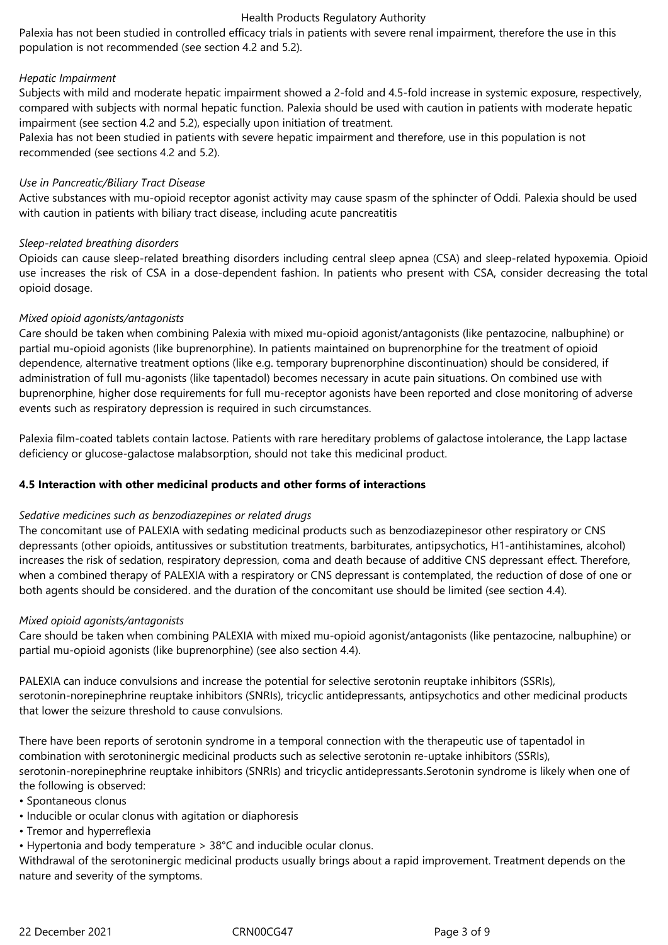Palexia has not been studied in controlled efficacy trials in patients with severe renal impairment, therefore the use in this population is not recommended (see section 4.2 and 5.2).

## *Hepatic Impairment*

Subjects with mild and moderate hepatic impairment showed a 2-fold and 4.5-fold increase in systemic exposure, respectively, compared with subjects with normal hepatic function. Palexia should be used with caution in patients with moderate hepatic impairment (see section 4.2 and 5.2), especially upon initiation of treatment.

Palexia has not been studied in patients with severe hepatic impairment and therefore, use in this population is not recommended (see sections 4.2 and 5.2).

## *Use in Pancreatic/Biliary Tract Disease*

Active substances with mu-opioid receptor agonist activity may cause spasm of the sphincter of Oddi. Palexia should be used with caution in patients with biliary tract disease, including acute pancreatitis

## *Sleep-related breathing disorders*

Opioids can cause sleep-related breathing disorders including central sleep apnea (CSA) and sleep-related hypoxemia. Opioid use increases the risk of CSA in a dose-dependent fashion. In patients who present with CSA, consider decreasing the total opioid dosage.

## *Mixed opioid agonists/antagonists*

Care should be taken when combining Palexia with mixed mu-opioid agonist/antagonists (like pentazocine, nalbuphine) or partial mu-opioid agonists (like buprenorphine). In patients maintained on buprenorphine for the treatment of opioid dependence, alternative treatment options (like e.g. temporary buprenorphine discontinuation) should be considered, if administration of full mu-agonists (like tapentadol) becomes necessary in acute pain situations. On combined use with buprenorphine, higher dose requirements for full mu-receptor agonists have been reported and close monitoring of adverse events such as respiratory depression is required in such circumstances.

Palexia film-coated tablets contain lactose. Patients with rare hereditary problems of galactose intolerance, the Lapp lactase deficiency or glucose-galactose malabsorption, should not take this medicinal product.

#### **4.5 Interaction with other medicinal products and other forms of interactions**

#### *Sedative medicines such as benzodiazepines or related drugs*

The concomitant use of PALEXIA with sedating medicinal products such as benzodiazepinesor other respiratory or CNS depressants (other opioids, antitussives or substitution treatments, barbiturates, antipsychotics, H1-antihistamines, alcohol) increases the risk of sedation, respiratory depression, coma and death because of additive CNS depressant effect. Therefore, when a combined therapy of PALEXIA with a respiratory or CNS depressant is contemplated, the reduction of dose of one or both agents should be considered. and the duration of the concomitant use should be limited (see section 4.4).

#### *Mixed opioid agonists/antagonists*

Care should be taken when combining PALEXIA with mixed mu-opioid agonist/antagonists (like pentazocine, nalbuphine) or partial mu-opioid agonists (like buprenorphine) (see also section 4.4).

PALEXIA can induce convulsions and increase the potential for selective serotonin reuptake inhibitors (SSRIs), serotonin-norepinephrine reuptake inhibitors (SNRIs), tricyclic antidepressants, antipsychotics and other medicinal products that lower the seizure threshold to cause convulsions.

There have been reports of serotonin syndrome in a temporal connection with the therapeutic use of tapentadol in combination with serotoninergic medicinal products such as selective serotonin re-uptake inhibitors (SSRIs), serotonin-norepinephrine reuptake inhibitors (SNRIs) and tricyclic antidepressants.Serotonin syndrome is likely when one of the following is observed:

• Spontaneous clonus

- Inducible or ocular clonus with agitation or diaphoresis
- Tremor and hyperreflexia

• Hypertonia and body temperature > 38°C and inducible ocular clonus.

Withdrawal of the serotoninergic medicinal products usually brings about a rapid improvement. Treatment depends on the nature and severity of the symptoms.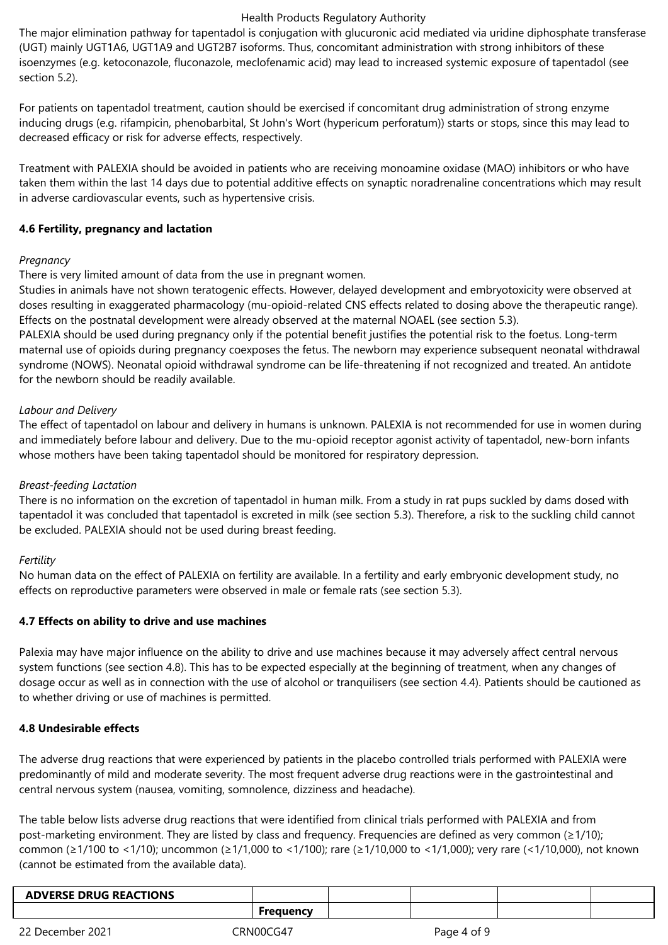The major elimination pathway for tapentadol is conjugation with glucuronic acid mediated via uridine diphosphate transferase (UGT) mainly UGT1A6, UGT1A9 and UGT2B7 isoforms. Thus, concomitant administration with strong inhibitors of these isoenzymes (e.g. ketoconazole, fluconazole, meclofenamic acid) may lead to increased systemic exposure of tapentadol (see section 5.2).

For patients on tapentadol treatment, caution should be exercised if concomitant drug administration of strong enzyme inducing drugs (e.g. rifampicin, phenobarbital, St John's Wort (hypericum perforatum)) starts or stops, since this may lead to decreased efficacy or risk for adverse effects, respectively.

Treatment with PALEXIA should be avoided in patients who are receiving monoamine oxidase (MAO) inhibitors or who have taken them within the last 14 days due to potential additive effects on synaptic noradrenaline concentrations which may result in adverse cardiovascular events, such as hypertensive crisis.

## **4.6 Fertility, pregnancy and lactation**

## *Pregnancy*

There is very limited amount of data from the use in pregnant women.

Studies in animals have not shown teratogenic effects. However, delayed development and embryotoxicity were observed at doses resulting in exaggerated pharmacology (mu-opioid-related CNS effects related to dosing above the therapeutic range). Effects on the postnatal development were already observed at the maternal NOAEL (see section 5.3).

PALEXIA should be used during pregnancy only if the potential benefit justifies the potential risk to the foetus. Long-term maternal use of opioids during pregnancy coexposes the fetus. The newborn may experience subsequent neonatal withdrawal syndrome (NOWS). Neonatal opioid withdrawal syndrome can be life-threatening if not recognized and treated. An antidote for the newborn should be readily available.

## *Labour and Delivery*

The effect of tapentadol on labour and delivery in humans is unknown. PALEXIA is not recommended for use in women during and immediately before labour and delivery. Due to the mu-opioid receptor agonist activity of tapentadol, new-born infants whose mothers have been taking tapentadol should be monitored for respiratory depression.

## *Breast-feeding Lactation*

There is no information on the excretion of tapentadol in human milk. From a study in rat pups suckled by dams dosed with tapentadol it was concluded that tapentadol is excreted in milk (see section 5.3). Therefore, a risk to the suckling child cannot be excluded. PALEXIA should not be used during breast feeding.

## *Fertility*

No human data on the effect of PALEXIA on fertility are available. In a fertility and early embryonic development study, no effects on reproductive parameters were observed in male or female rats (see section 5.3).

#### **4.7 Effects on ability to drive and use machines**

Palexia may have major influence on the ability to drive and use machines because it may adversely affect central nervous system functions (see section 4.8). This has to be expected especially at the beginning of treatment, when any changes of dosage occur as well as in connection with the use of alcohol or tranquilisers (see section 4.4). Patients should be cautioned as to whether driving or use of machines is permitted.

## **4.8 Undesirable effects**

The adverse drug reactions that were experienced by patients in the placebo controlled trials performed with PALEXIA were predominantly of mild and moderate severity. The most frequent adverse drug reactions were in the gastrointestinal and central nervous system (nausea, vomiting, somnolence, dizziness and headache).

The table below lists adverse drug reactions that were identified from clinical trials performed with PALEXIA and from post-marketing environment. They are listed by class and frequency. Frequencies are defined as very common (≥1/10); common (≥1/100 to <1/10); uncommon (≥1/1,000 to <1/100); rare (≥1/10,000 to <1/1,000); very rare (<1/10,000), not known (cannot be estimated from the available data).

| <b>DVERSE DRUG REACTIONS</b><br>AL |  |  |  |
|------------------------------------|--|--|--|
|                                    |  |  |  |
|                                    |  |  |  |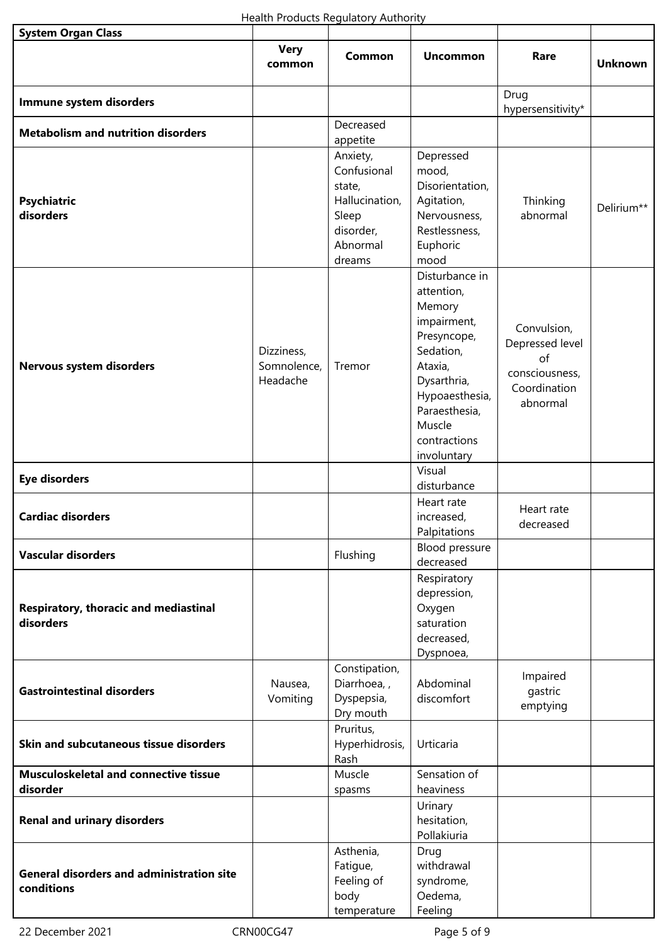| <b>System Organ Class</b>                                      |                                       |                                                                                                 |                                                                                                                                                                                         |                                                                                    |                |
|----------------------------------------------------------------|---------------------------------------|-------------------------------------------------------------------------------------------------|-----------------------------------------------------------------------------------------------------------------------------------------------------------------------------------------|------------------------------------------------------------------------------------|----------------|
|                                                                | <b>Very</b><br>common                 | <b>Common</b>                                                                                   | <b>Uncommon</b>                                                                                                                                                                         | Rare                                                                               | <b>Unknown</b> |
| Immune system disorders                                        |                                       |                                                                                                 |                                                                                                                                                                                         | Drug<br>hypersensitivity*                                                          |                |
| <b>Metabolism and nutrition disorders</b>                      |                                       | Decreased<br>appetite                                                                           |                                                                                                                                                                                         |                                                                                    |                |
| <b>Psychiatric</b><br>disorders                                |                                       | Anxiety,<br>Confusional<br>state,<br>Hallucination,<br>Sleep<br>disorder,<br>Abnormal<br>dreams | Depressed<br>mood,<br>Disorientation,<br>Agitation,<br>Nervousness,<br>Restlessness,<br>Euphoric<br>mood                                                                                | Thinking<br>abnormal                                                               | Delirium**     |
| Nervous system disorders                                       | Dizziness,<br>Somnolence,<br>Headache | Tremor                                                                                          | Disturbance in<br>attention,<br>Memory<br>impairment,<br>Presyncope,<br>Sedation,<br>Ataxia,<br>Dysarthria,<br>Hypoaesthesia,<br>Paraesthesia,<br>Muscle<br>contractions<br>involuntary | Convulsion,<br>Depressed level<br>of<br>consciousness,<br>Coordination<br>abnormal |                |
| <b>Eye disorders</b>                                           |                                       |                                                                                                 | Visual<br>disturbance                                                                                                                                                                   |                                                                                    |                |
| <b>Cardiac disorders</b>                                       |                                       |                                                                                                 | Heart rate<br>increased,<br>Palpitations                                                                                                                                                | Heart rate<br>decreased                                                            |                |
| <b>Vascular disorders</b>                                      |                                       | Flushing                                                                                        | Blood pressure<br>decreased                                                                                                                                                             |                                                                                    |                |
| Respiratory, thoracic and mediastinal<br>disorders             |                                       |                                                                                                 | Respiratory<br>depression,<br>Oxygen<br>saturation<br>decreased,<br>Dyspnoea,                                                                                                           |                                                                                    |                |
| <b>Gastrointestinal disorders</b>                              | Nausea,<br>Vomiting                   | Constipation,<br>Diarrhoea,,<br>Dyspepsia,<br>Dry mouth                                         | Abdominal<br>discomfort                                                                                                                                                                 | Impaired<br>gastric<br>emptying                                                    |                |
| Skin and subcutaneous tissue disorders                         |                                       | Pruritus,<br>Hyperhidrosis,<br>Rash                                                             | Urticaria                                                                                                                                                                               |                                                                                    |                |
| <b>Musculoskeletal and connective tissue</b><br>disorder       |                                       | Muscle<br>spasms                                                                                | Sensation of<br>heaviness                                                                                                                                                               |                                                                                    |                |
| <b>Renal and urinary disorders</b>                             |                                       |                                                                                                 | Urinary<br>hesitation,<br>Pollakiuria                                                                                                                                                   |                                                                                    |                |
| <b>General disorders and administration site</b><br>conditions |                                       | Asthenia,<br>Fatigue,<br>Feeling of<br>body<br>temperature                                      | Drug<br>withdrawal<br>syndrome,<br>Oedema,<br>Feeling                                                                                                                                   |                                                                                    |                |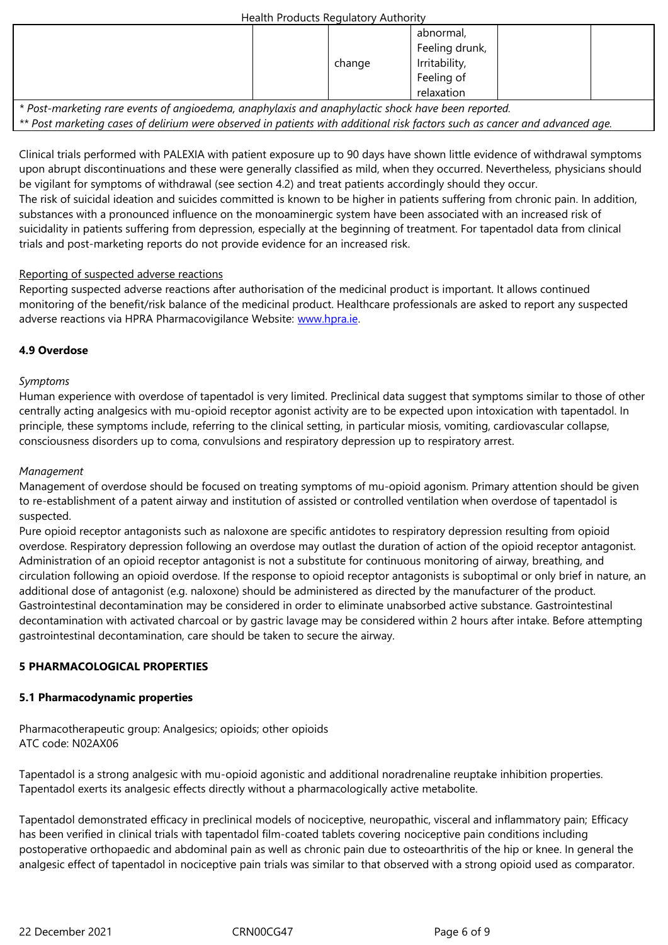| $\cdot$<br>$\overline{\phantom{0}}$<br>Feeling of | change<br>ے | $\cdots$<br>Irritability |  |  |
|---------------------------------------------------|-------------|--------------------------|--|--|
|                                                   |             |                          |  |  |
| relaxation                                        |             |                          |  |  |

*\* Post-marketing rare events of angioedema, anaphylaxis and anaphylactic shock have been reported.*

*\*\* Post marketing cases of delirium were observed in patients with additional risk factors such as cancer and advanced age.* 

Clinical trials performed with PALEXIA with patient exposure up to 90 days have shown little evidence of withdrawal symptoms upon abrupt discontinuations and these were generally classified as mild, when they occurred. Nevertheless, physicians should be vigilant for symptoms of withdrawal (see section 4.2) and treat patients accordingly should they occur.

The risk of suicidal ideation and suicides committed is known to be higher in patients suffering from chronic pain. In addition, substances with a pronounced influence on the monoaminergic system have been associated with an increased risk of suicidality in patients suffering from depression, especially at the beginning of treatment. For tapentadol data from clinical trials and post-marketing reports do not provide evidence for an increased risk.

## Reporting of suspected adverse reactions

Reporting suspected adverse reactions after authorisation of the medicinal product is important. It allows continued monitoring of the benefit/risk balance of the medicinal product. Healthcare professionals are asked to report any suspected adverse reactions via HPRA Pharmacovigilance Website: www.hpra.ie.

## **4.9 Overdose**

## *Symptoms*

Human experience with overdose of tapentadol is very limited. Preclinical data suggest that symptoms similar to those of other centrally acting analgesics with mu-opioid receptor agonist activity are to be expected upon intoxication with tapentadol. In principle, these symptoms include, referring to the clinical setting, in particular miosis, vomiting, cardiovascular collapse, consciousness disorders up to coma, convulsions and respiratory depression up to respiratory arrest.

## *Management*

Management of overdose should be focused on treating symptoms of mu-opioid agonism. Primary attention should be given to re-establishment of a patent airway and institution of assisted or controlled ventilation when overdose of tapentadol is suspected.

Pure opioid receptor antagonists such as naloxone are specific antidotes to respiratory depression resulting from opioid overdose. Respiratory depression following an overdose may outlast the duration of action of the opioid receptor antagonist. Administration of an opioid receptor antagonist is not a substitute for continuous monitoring of airway, breathing, and circulation following an opioid overdose. If the response to opioid receptor antagonists is suboptimal or only brief in nature, an additional dose of antagonist (e.g. naloxone) should be administered as directed by the manufacturer of the product. Gastrointestinal decontamination may be considered in order to eliminate unabsorbed active substance. Gastrointestinal decontamination with activated charcoal or by gastric lavage may be considered within 2 hours after intake. Before attempting gastrointestinal decontamination, care should be taken to secure the airway.

## **5 PHARMACOLOGICAL PROPERTIES**

## **5.1 Pharmacodynamic properties**

Pharmacotherapeutic group: Analgesics; opioids; other opioids ATC code: N02AX06

Tapentadol is a strong analgesic with mu-opioid agonistic and additional noradrenaline reuptake inhibition properties. Tapentadol exerts its analgesic effects directly without a pharmacologically active metabolite.

Tapentadol demonstrated efficacy in preclinical models of nociceptive, neuropathic, visceral and inflammatory pain; Efficacy has been verified in clinical trials with tapentadol film-coated tablets covering nociceptive pain conditions including postoperative orthopaedic and abdominal pain as well as chronic pain due to osteoarthritis of the hip or knee. In general the analgesic effect of tapentadol in nociceptive pain trials was similar to that observed with a strong opioid used as comparator.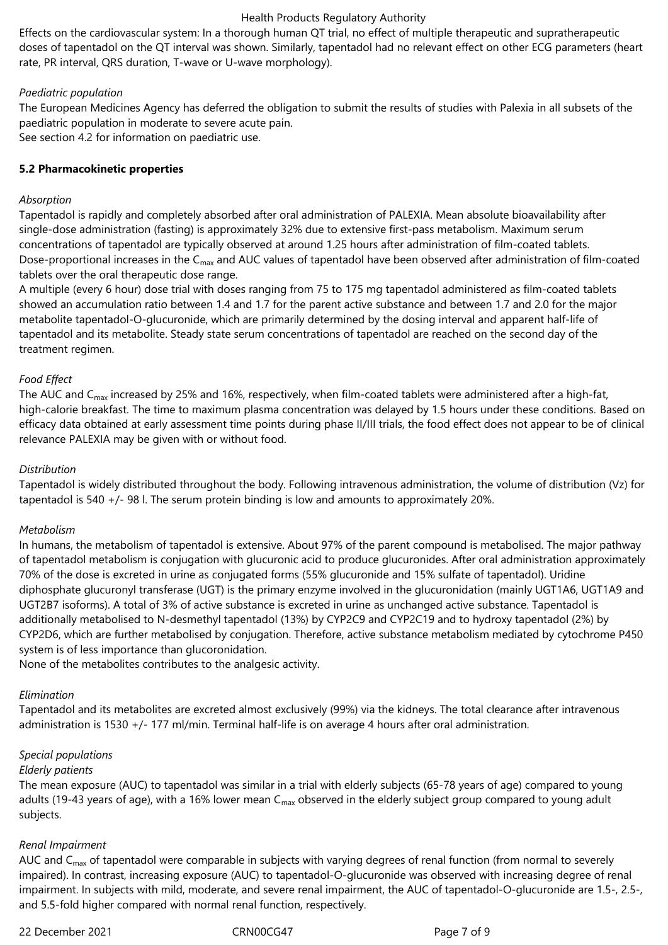Effects on the cardiovascular system: In a thorough human QT trial, no effect of multiple therapeutic and supratherapeutic doses of tapentadol on the QT interval was shown. Similarly, tapentadol had no relevant effect on other ECG parameters (heart rate, PR interval, QRS duration, T-wave or U-wave morphology).

## *Paediatric population*

The European Medicines Agency has deferred the obligation to submit the results of studies with Palexia in all subsets of the paediatric population in moderate to severe acute pain. See section 4.2 for information on paediatric use.

## **5.2 Pharmacokinetic properties**

## *Absorption*

Tapentadol is rapidly and completely absorbed after oral administration of PALEXIA. Mean absolute bioavailability after single-dose administration (fasting) is approximately 32% due to extensive first-pass metabolism. Maximum serum concentrations of tapentadol are typically observed at around 1.25 hours after administration of film-coated tablets. Dose-proportional increases in the  $C_{max}$  and AUC values of tapentadol have been observed after administration of film-coated tablets over the oral therapeutic dose range.

A multiple (every 6 hour) dose trial with doses ranging from 75 to 175 mg tapentadol administered as film-coated tablets showed an accumulation ratio between 1.4 and 1.7 for the parent active substance and between 1.7 and 2.0 for the major metabolite tapentadol‑O-glucuronide, which are primarily determined by the dosing interval and apparent half-life of tapentadol and its metabolite. Steady state serum concentrations of tapentadol are reached on the second day of the treatment regimen.

## *Food Effect*

The AUC and C<sub>max</sub> increased by 25% and 16%, respectively, when film-coated tablets were administered after a high-fat, high-calorie breakfast. The time to maximum plasma concentration was delayed by 1.5 hours under these conditions. Based on efficacy data obtained at early assessment time points during phase II/III trials, the food effect does not appear to be of clinical relevance PALEXIA may be given with or without food.

## *Distribution*

Tapentadol is widely distributed throughout the body. Following intravenous administration, the volume of distribution (Vz) for tapentadol is 540 +/- 98 l. The serum protein binding is low and amounts to approximately 20%.

#### *Metabolism*

In humans, the metabolism of tapentadol is extensive. About 97% of the parent compound is metabolised. The major pathway of tapentadol metabolism is conjugation with glucuronic acid to produce glucuronides. After oral administration approximately 70% of the dose is excreted in urine as conjugated forms (55% glucuronide and 15% sulfate of tapentadol). Uridine diphosphate glucuronyl transferase (UGT) is the primary enzyme involved in the glucuronidation (mainly UGT1A6, UGT1A9 and UGT2B7 isoforms). A total of 3% of active substance is excreted in urine as unchanged active substance. Tapentadol is additionally metabolised to N-desmethyl tapentadol (13%) by CYP2C9 and CYP2C19 and to hydroxy tapentadol (2%) by CYP2D6, which are further metabolised by conjugation. Therefore, active substance metabolism mediated by cytochrome P450 system is of less importance than glucoronidation.

None of the metabolites contributes to the analgesic activity.

#### *Elimination*

Tapentadol and its metabolites are excreted almost exclusively (99%) via the kidneys. The total clearance after intravenous administration is 1530 +/- 177 ml/min. Terminal half-life is on average 4 hours after oral administration.

#### *Special populations*

#### *Elderly patients*

The mean exposure (AUC) to tapentadol was similar in a trial with elderly subjects (65-78 years of age) compared to young adults (19-43 years of age), with a 16% lower mean  $C_{\text{max}}$  observed in the elderly subject group compared to young adult subjects.

#### *Renal Impairment*

AUC and  $C_{\text{max}}$  of tapentadol were comparable in subjects with varying degrees of renal function (from normal to severely impaired). In contrast, increasing exposure (AUC) to tapentadol-O-glucuronide was observed with increasing degree of renal impairment. In subjects with mild, moderate, and severe renal impairment, the AUC of tapentadol-O-glucuronide are 1.5-, 2.5-, and 5.5-fold higher compared with normal renal function, respectively.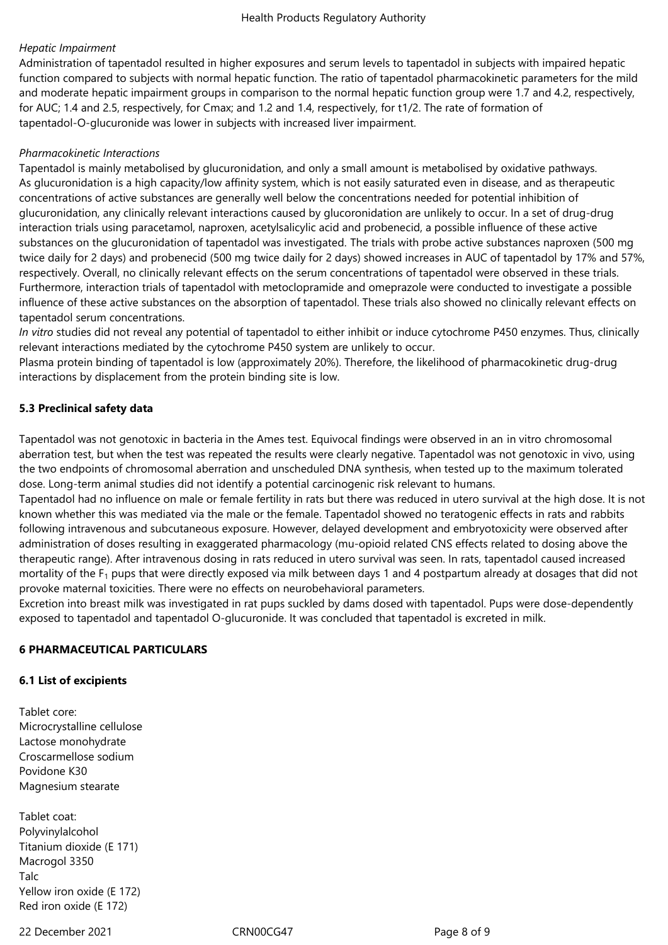## *Hepatic Impairment*

Administration of tapentadol resulted in higher exposures and serum levels to tapentadol in subjects with impaired hepatic function compared to subjects with normal hepatic function. The ratio of tapentadol pharmacokinetic parameters for the mild and moderate hepatic impairment groups in comparison to the normal hepatic function group were 1.7 and 4.2, respectively, for AUC; 1.4 and 2.5, respectively, for Cmax; and 1.2 and 1.4, respectively, for t1/2. The rate of formation of tapentadol-O-glucuronide was lower in subjects with increased liver impairment.

## *Pharmacokinetic Interactions*

Tapentadol is mainly metabolised by glucuronidation, and only a small amount is metabolised by oxidative pathways. As glucuronidation is a high capacity/low affinity system, which is not easily saturated even in disease, and as therapeutic concentrations of active substances are generally well below the concentrations needed for potential inhibition of glucuronidation, any clinically relevant interactions caused by glucoronidation are unlikely to occur. In a set of drug-drug interaction trials using paracetamol, naproxen, acetylsalicylic acid and probenecid, a possible influence of these active substances on the glucuronidation of tapentadol was investigated. The trials with probe active substances naproxen (500 mg twice daily for 2 days) and probenecid (500 mg twice daily for 2 days) showed increases in AUC of tapentadol by 17% and 57%, respectively. Overall, no clinically relevant effects on the serum concentrations of tapentadol were observed in these trials. Furthermore, interaction trials of tapentadol with metoclopramide and omeprazole were conducted to investigate a possible influence of these active substances on the absorption of tapentadol. These trials also showed no clinically relevant effects on tapentadol serum concentrations.

*In vitro* studies did not reveal any potential of tapentadol to either inhibit or induce cytochrome P450 enzymes. Thus, clinically relevant interactions mediated by the cytochrome P450 system are unlikely to occur.

Plasma protein binding of tapentadol is low (approximately 20%). Therefore, the likelihood of pharmacokinetic drug-drug interactions by displacement from the protein binding site is low.

## **5.3 Preclinical safety data**

Tapentadol was not genotoxic in bacteria in the Ames test. Equivocal findings were observed in an in vitro chromosomal aberration test, but when the test was repeated the results were clearly negative. Tapentadol was not genotoxic in vivo, using the two endpoints of chromosomal aberration and unscheduled DNA synthesis, when tested up to the maximum tolerated dose. Long-term animal studies did not identify a potential carcinogenic risk relevant to humans.

Tapentadol had no influence on male or female fertility in rats but there was reduced in utero survival at the high dose. It is not known whether this was mediated via the male or the female. Tapentadol showed no teratogenic effects in rats and rabbits following intravenous and subcutaneous exposure. However, delayed development and embryotoxicity were observed after administration of doses resulting in exaggerated pharmacology (mu-opioid related CNS effects related to dosing above the therapeutic range). After intravenous dosing in rats reduced in utero survival was seen. In rats, tapentadol caused increased mortality of the  $F_1$  pups that were directly exposed via milk between days 1 and 4 postpartum already at dosages that did not provoke maternal toxicities. There were no effects on neurobehavioral parameters.

Excretion into breast milk was investigated in rat pups suckled by dams dosed with tapentadol. Pups were dose-dependently exposed to tapentadol and tapentadol O-glucuronide. It was concluded that tapentadol is excreted in milk.

#### **6 PHARMACEUTICAL PARTICULARS**

#### **6.1 List of excipients**

Tablet core: Microcrystalline cellulose Lactose monohydrate Croscarmellose sodium Povidone K30 Magnesium stearate

Tablet coat: Polyvinylalcohol Titanium dioxide (E 171) Macrogol 3350 Talc Yellow iron oxide (E 172) Red iron oxide (E 172)

22 December 2021 CRN00CG47 Page 8 of 9